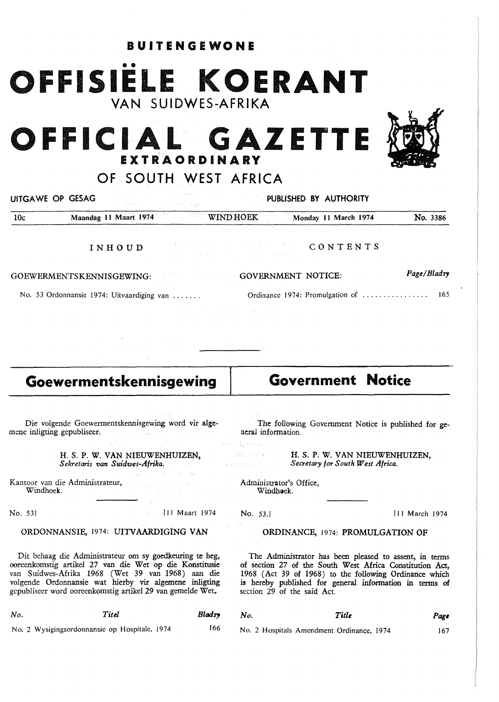# •• **OFFISIELE KOERANT**  VAN SUIDWES-AFRIKA

**BUITENGEWONE** 

## **OFFICIAL GAZETTE EXT RAO RD IN A RY**

OF SOUTH WEST AFRICA

UITGA WE OP GESAG PUBLISHED BY AUTHORITY

10c **Maandag 11 Maart 1974** WIND HOEK Monday 11 March 1974 No. 3386 **INHOUD CONTENTS**  a Germania

**GOEWERMENTSKENNISGEWING:**  No. 53 Ordonnansie 1974: Uitvaardiging van ...... **GOVERNMENT NOTICE:**  Ordinance 1974: Promulgation of 165 *Page/Bladsy* 

### **Goewermentskennisgewing**

Die volgende Goewermentskennisgewing word vir **alge**mene inligting gepubliseer.

> H. S. **P. W. VAN** NIEUWENHUIZEN, *Sekretaris van Suidwes-Afrika.*

Kantoor van die Administrateur, Windhoek.

#### No. 531 **I 11 Maart 1974**

#### ORDONNANSIE, 1974: UITVAARDIGING VAN

Dit behaag die Adrninistrateur om sy goedkeuring te heg, ooreenkomstig artikel 27 van die Wet op die Konstitusie van Suidwes-Afrika 1968 (Wet 39 van 1968) aan die volgende Ordonnansie wat hierby vir algemene inligting gepubliseer word ooreenkomstig artikel 29 van gemelde Wet.

| No. | Titel                                         | Bladsy |
|-----|-----------------------------------------------|--------|
|     | No. 2 Wysigingsordonnansie op Hospitale, 1974 | 166    |

**Government Notice** 

The following Government Notice is published for general information.

化铅铜 电回收器 कोराम संग्रहा के भी रे

H. S. P. W. VAN NIEUWENHUIZEN, *Secretary for South West Africa.* 

Administrator's Office, Windhoek.

No. 53.

#### **ORDINANCE,** 1974: **PROMULGATION OF**

The Administrator has been pleased to assent, in terms of section 27 of the South West Africa Constitution Act, 1968 (Act 39 of 1968) to the following Ordinance which is hereby published for general information in terms of section 29 of the said Act.

No. 2 Hospitals Amendment Ordinance, 1974

*No. Title* 

Page

167



estriktor polar (\*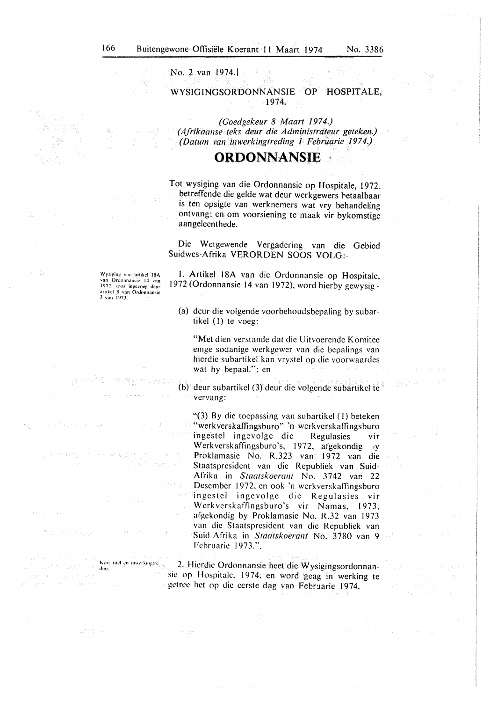No. 2 van 1974.I

WYSIGINGSORDONNANSIE OP HOSPITALE, 1974.

*(Goedgekeur 8 Maart 1974.) (A..frikaa11se teks deur die Administrdteur geteken.) (Datum van inwerkingtreding 1 Februarie 1974.)* 

#### **ORDONNANSIE**

Tot wysiging van die Ordonnansie op Hospitale, 1972, betreffende die gelde wat deur werkgewers betaalbaar is ten opsigte van werknemers wat vry behandeling ontvang; en om voorsiening te maak vir bykomstige aangeleenthede.

Die Wetgewende Vergadering van die Gebied Suidwes-Afrika VERORDEN SOOS VOLG:-

Wysiging van artikcl 18A van Ordonnansie 14 van<br>1972, soos ingevoeg deur<br>artikel 8 van Ordonnansie<br>3 van 1973.

Kort titel en inwerkingtre

1579

 $\rm{dmg}$ 

an e s

 $\mathcal{L}_{\text{cav}} \in \mathbb{R}^{d_{\text{cav}} \times d_{\text{cav}}}$ 

in sicologi

1. Artikel 18A van die Ordonnansie op Hospitale, 1972 (Ordonnansie 14 van 1972), word hierby gewysig -

(a) deur die volgende voorbehoudsbepaling by subar tikel (I) te voeg:

**"Met** dien verstande dat die Uitvoerende Komitee enige sodanige werkgewer van die bepalings van hierdie subartikel kan vrystel op die voorwaardes wat hy bepaaL": en

(b) deur subartikel (3) deur die volgende subartikcl te vervang:

"(3) By die toepassing van subartikcl (I) beteken "werkverskaffingsburo" 'n werkverskaffingsburo ingestel ingevolge die Regulasies vir Werkverskaffingsburo's, 1972, afgekondig y Proklamasie No. R.323 van 1972 van die Staatspresident van die Republiek van Suid Afrika in *Staatskoerant* No. 3742 var. 22 Desember 1972, en ook 'n werkverskaffingsburo ingestel ingevolge die Regulasies vir Wcrkverskaffingsburo's vir Namas, 1973, afgekondig by Proklamasie No. R.32 van 1973 van die Staatspresident van die Republiek van Suid-Afrika in *Staatskoerant* No. 3780 van 9 Fehruaric 1973.".

2. Hierdie Ordonnansie heet die Wysigingsordonnansie op Hospitalc, 1974, en word geag in werking te getree het op die eerste dag van Februarie 1974.

Ŵ.